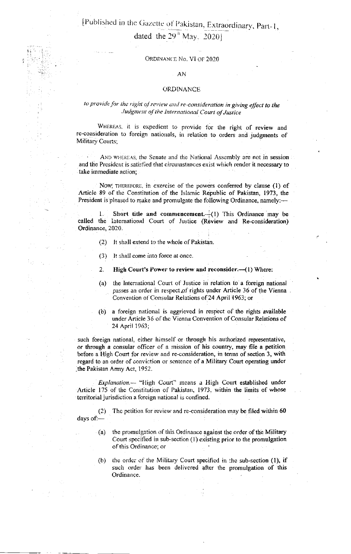[Published in the Gazette of Pakistan, Extraordinary, Part-1, dated the  $29^{\circ}$  May, 20201

#### ORDINANCE No. VI OF 2020

#### AN

#### **ORDINANCE**

## to provide for the right of review and re-consideration in giving effect to the Judgment of the International Court of Justice

WHEREAS, it is expedient to provide for the right of review and re-consideration to foreign nationals, in relation to orders and judgments of Military Courts:

AND WHEREAS, the Senate and the National Assembly are not in session and the President is satisfied that circumstances exist which render it necessary to take immediate action;

NOW, THEREFORE, in exercise of the powers conferred by clause (1) of Article 89 of the Constitution of the Islamic Republic of Pakistan, 1973, the President is pleased to make and promulgate the following Ordinance, namely:-

Short title and commencement.  $(1)$  This Ordinance may be called the International Court of Justice (Review and Re-consideration) Ordinance, 2020.

- $(2)$ It shall extend to the whole of Pakistan.
- It shall come into force at once.  $(3)$

 $2.$ High Court's Power to review and reconsider.—(1) Where:

- the International Court of Justice in relation to a foreign national  $(a)$ passes an order in respect of rights under Article 36 of the Vienna. Convention of Consular Relations of 24 April 1963; or
- (b) a foreign national is aggrieved in respect of the rights available under Article 36 of the Vienna Convention of Consular Relations of 24 April 1963;

such foreign national, either himself or through his authorized representative, or through a consular officer of a mission of his country, may file a petition before a High Court for review and re-consideration, in terms of section 3, with regard to an order of conviction or sentence of a Military Court operating under the Pakistan Army Act, 1952.

*Explanation*.— "High Court" means a High Court established under Article 175 of the Constitution of Pakistan, 1973, within the limits of whose territorial jurisdiction a foreign national is confined.

The petition for review and re-consideration may be filed within 60  $(2)$ days of:-

- the promulgation of this Ordinance against the order of the Military  $(a)$ Court specified in sub-section (1) existing prior to the promulgation of this Ordinance; or
- (b) the order of the Military Court specified in the sub-section (1), if such order has been delivered after the promulgation of this Ordinance.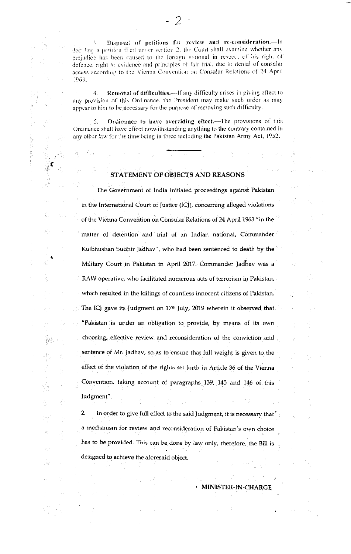Disposal of petitions for review and re-consideration.-In R. deciding a petition fiied under section 2, the Court shall examine whether any prejudice has been caused to the foreign national in respect of his right of defence, right to evidence and principles of fair trial, due to denial of consular access according to the Vienna Convention on Consalar Relations of 24 April 1963.

Removal of difficulties.-If any difficulty arises in giving effect to 4. any provision of this Ordinance, the President may make such order as may appear to him to be necessary for the purpose of removing such difficulty.

Ordinance to have overriding effect.-The provisions of this 5. Ordinance shall have effect notwithstanding anything to the contrary contained in any other law for the time being in force including the Pakistan Army Act, 1952.

## STATEMENT OF OBJECTS AND REASONS

The Government of India initiated proceedings against Pakistan in the International Court of Justice (ICJ), concerning alleged violations of the Vienna Convention on Consular Relations of 24 April 1963 "in the matter of detention and trial of an Indian national, Commander Kulbhushan Sudhir Jadhav", who had been sentenced to death by the Military Court in Pakistan in April 2017. Commander Jadhav was a RAW operative, who facilitated numerous acts of terrorism in Pakistan, which resulted in the killings of countless innocent citizens of Pakistan. The ICJ gave its Judgment on 17<sup>th</sup> July, 2019 wherein it observed that "Pakistan is under an obligation to provide, by means of its own choosing, effective review and reconsideration of the conviction and sentence of Mr. Jadhav, so as to ensure that full weight is given to the effect of the violation of the rights set forth in Article 36 of the Vienna. Convention, taking account of paragraphs 139, 145 and 146 of this Judgment".

 $2.$ In order to give full effect to the said Judgment, it is necessary that a mechanism for review and reconsideration of Pakistan's own choice has to be provided. This can be done by law only, therefore, the Bill is designed to achieve the aforesaid object.

**MINISTER-IN-CHARGE**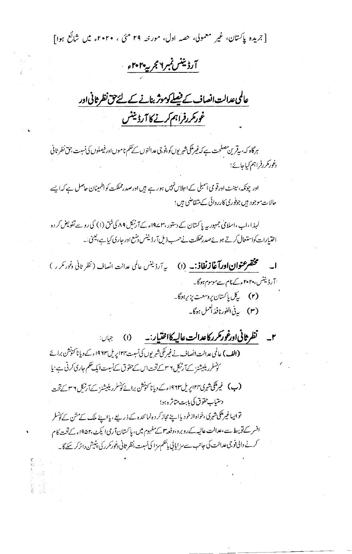[جریدہ پاکستان، غیر معمولی، حصہ اول، مورخہ ۲۹ مئی ، ۲۰۲۰ء میں شائع ہوا] <u>آرژینس نمرا مجریه ۲۰۲۰ و</u> عالمی عدالت انصاف کے فیصلے کوموثر بنانے کے لئے حق نظر ثانی اور غور کررفراہم کرنے کا آرڈینٹس ہرگاہ کہ، بیقرین مصلحت ہے کہ غیرملکی شہریوں کو ،فوجی عدالتوں کے حکم ناموں اور فیصلوں کی نسبت ،حق نظر ثانی دغور کررفراہم کیاجائے؛ اور چونکہ، سینٹ اورقو می آسمبلی کے احلاس نہیں ہور ہے ہیں اورصدرمملکت کواظمینان حاصل ہے کہ ایسے حالات موجود ہیں جوفوری کارر دائی کے متقاضی ہیں؛ لہذا،اب،اسلامی جمہور بیہ پاکستان کے دستور،۳۷۴۲ء کےآرٹیکل ۸۹ کی شق (۱) کی روپے تفویض کر دہ اختیارات کواستعال کرتے ہوئےصدرمملکت نےحسب ذیل آ رڈیننس دسنع اور جاری کیا ہے، یعنی:۔ م**ختصر عنوان اورآغازنفاذ: به (۱) م**یه آرڈینس عالمی عدالت انصاف ( نظر <sub>ثا</sub>نی د*غ*ور مکر ر ) <sup>.</sup> آرڈیننس، ۲۰۲۰ءکے نام سےموسوم ہوگا۔ (۲) كىيا ياكىتان پروسىت يزې<sub>ر</sub>بوگا \_ (۳) بەنى الفورنافذ <sup>أ</sup>مىل ہوگا۔ ٢\_ نظر ثانی اورغور مرركاعدالت عالیه كانفتیار :- (١) (الف) عالمي عدالت انصاف نے غیر کمکی شہریوں کی نسبت ۱۲۴ پریل ۱۹۶۳ء کے دیانا کنونشن برائے کونسلر ریلیشنز کےآرٹنکل ۲ ساتےتحت1س کےحقوق کےنسبت ایک تھم جاری کرتی ہے؛ یا **(ب)** غیرملکی شہری۴۲ اپریل۱۹۶۳ءکے وپانا کنونشن برائے کونسلر ریلیشنز کے آرٹنگ ۲ س<u>ے تح</u>ت دستياب حقوق كي بابت متاثره ہو؛ تواپیاغیرملکی شہرکی،خواہ ازخود یااپنے مجاز کر دہ نمائندہ کے ذریعے، یااپنے ملک کے مشن کے کونسلر افسر کے توسط سے ،عدالت عالیہ کےروبرد،دفعہ ۳ کے مفہوم میں، پاکستان آرمی ایکٹ،۱۹۵۲ء کےتحت کام کرنے دالی فوجی عدالت کی جانب سے مزایا پی پاتھم مزا کی نسبت،نظر ثانی دغور مکرر کی پنیشن دائر کر سکے گا۔